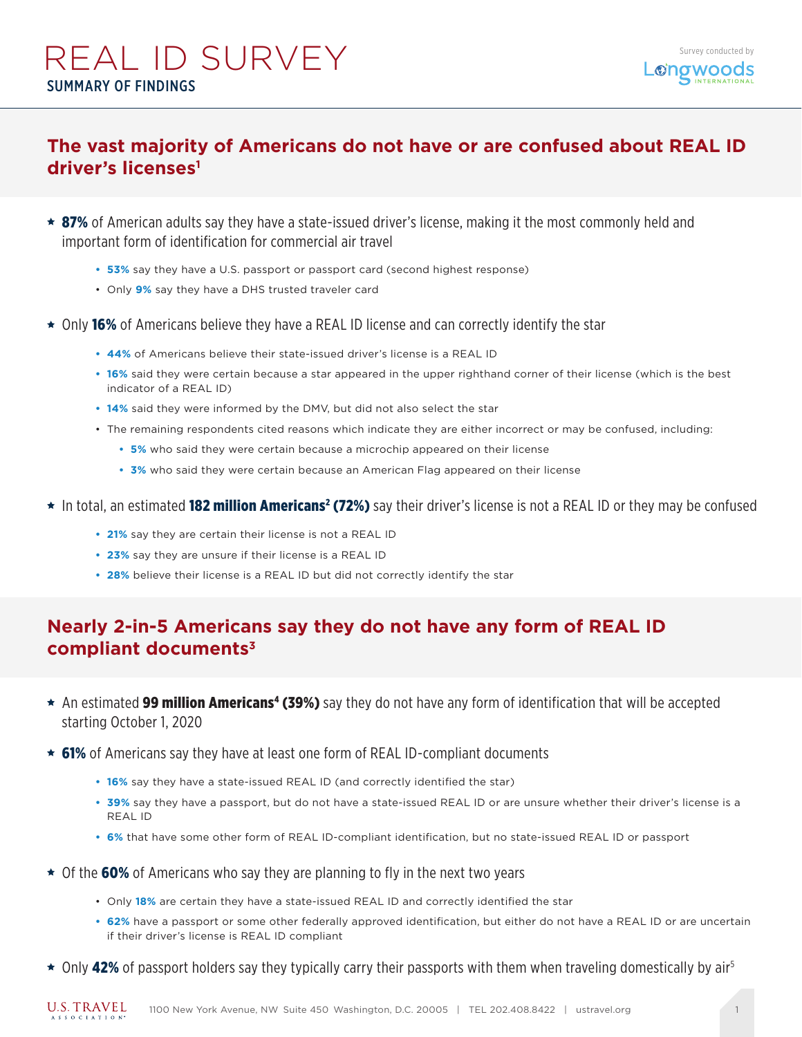# REAL ID SURVEY SUMMARY OF FINDINGS

### **The vast majority of Americans do not have or are confused about REAL ID driver's licenses1**

- **★ 87%** of American adults say they have a state-issued driver's license, making it the most commonly held and important form of identification for commercial air travel
	- **• 53%** say they have a U.S. passport or passport card (second highest response)
	- Only **9%** say they have a DHS trusted traveler card
- $\star$  Only 16% of Americans believe they have a REAL ID license and can correctly identify the star
	- **• 44%** of Americans believe their state-issued driver's license is a REAL ID
	- **• 16%** said they were certain because a star appeared in the upper righthand corner of their license (which is the best indicator of a REAL ID)
	- **• 14%** said they were informed by the DMV, but did not also select the star
	- The remaining respondents cited reasons which indicate they are either incorrect or may be confused, including:
		- **• 5%** who said they were certain because a microchip appeared on their license
		- **• 3%** who said they were certain because an American Flag appeared on their license
- In total, an estimated **182 million Americans<sup>2</sup> (72%)** say their driver's license is not a REAL ID or they may be confused
	- **• 21%** say they are certain their license is not a REAL ID
	- **• 23%** say they are unsure if their license is a REAL ID
	- **• 28%** believe their license is a REAL ID but did not correctly identify the star

### **Nearly 2-in-5 Americans say they do not have any form of REAL ID compliant documents3**

- An estimated 99 million Americans<sup>4</sup> (39%) say they do not have any form of identification that will be accepted starting October 1, 2020
- $\star$  61% of Americans say they have at least one form of REAL ID-compliant documents
	- **• 16%** say they have a state-issued REAL ID (and correctly identified the star)
	- **• 39%** say they have a passport, but do not have a state-issued REAL ID or are unsure whether their driver's license is a REAL ID
	- **• 6%** that have some other form of REAL ID-compliant identification, but no state-issued REAL ID or passport
- $\star$  Of the 60% of Americans who say they are planning to fly in the next two years
	- Only **18%** are certain they have a state-issued REAL ID and correctly identified the star
	- **• 62%** have a passport or some other federally approved identification, but either do not have a REAL ID or are uncertain if their driver's license is REAL ID compliant
- $\star$  Only 42% of passport holders say they typically carry their passports with them when traveling domestically by air<sup>5</sup>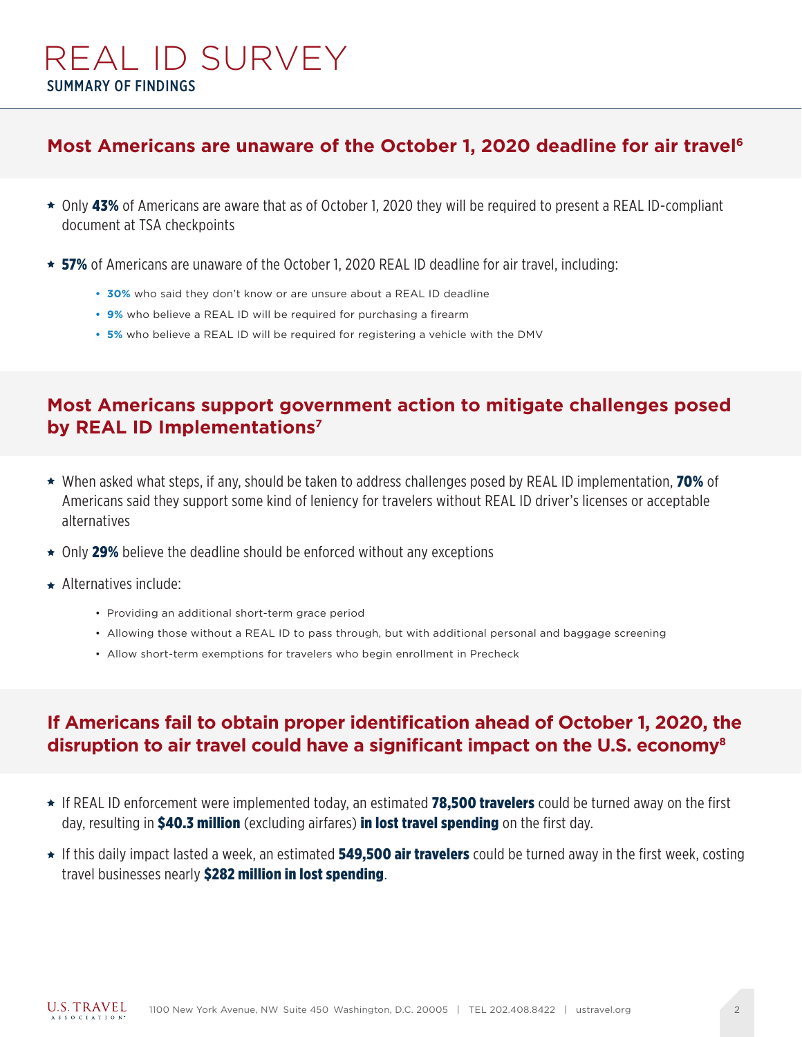# REAL ID SURVEY SUMMARY OF FINDINGS

#### **Most Americans are unaware of the October 1, 2020 deadline for air travel6**

- \* Only 43% of Americans are aware that as of October 1, 2020 they will be required to present a REAL ID-compliant document at TSA checkpoints
- $\star$  57% of Americans are unaware of the October 1, 2020 REAL ID deadline for air travel, including:
	- **• 30%** who said they don't know or are unsure about a REAL ID deadline
	- **• 9%** who believe a REAL ID will be required for purchasing a firearm
	- **• 5%** who believe a REAL ID will be required for registering a vehicle with the DMV

### **Most Americans support government action to mitigate challenges posed by REAL ID Implementations7**

- ★ When asked what steps, if any, should be taken to address challenges posed by REAL ID implementation, 70% of Americans said they support some kind of leniency for travelers without REAL ID driver's licenses or acceptable alternatives
- ★ Only 29% believe the deadline should be enforced without any exceptions
- ★ Alternatives include:
	- Providing an additional short-term grace period
	- Allowing those without a REAL ID to pass through, but with additional personal and baggage screening
	- Allow short-term exemptions for travelers who begin enrollment in Precheck

### **If Americans fail to obtain proper identification ahead of October 1, 2020, the disruption to air travel could have a significant impact on the U.S. economy8**

- ★ If REAL ID enforcement were implemented today, an estimated 78,500 travelers could be turned away on the first day, resulting in **\$40.3 million** (excluding airfares) **in lost travel spending** on the first day.
- ★ If this daily impact lasted a week, an estimated 549,500 air travelers could be turned away in the first week, costing travel businesses nearly \$282 million in lost spending.